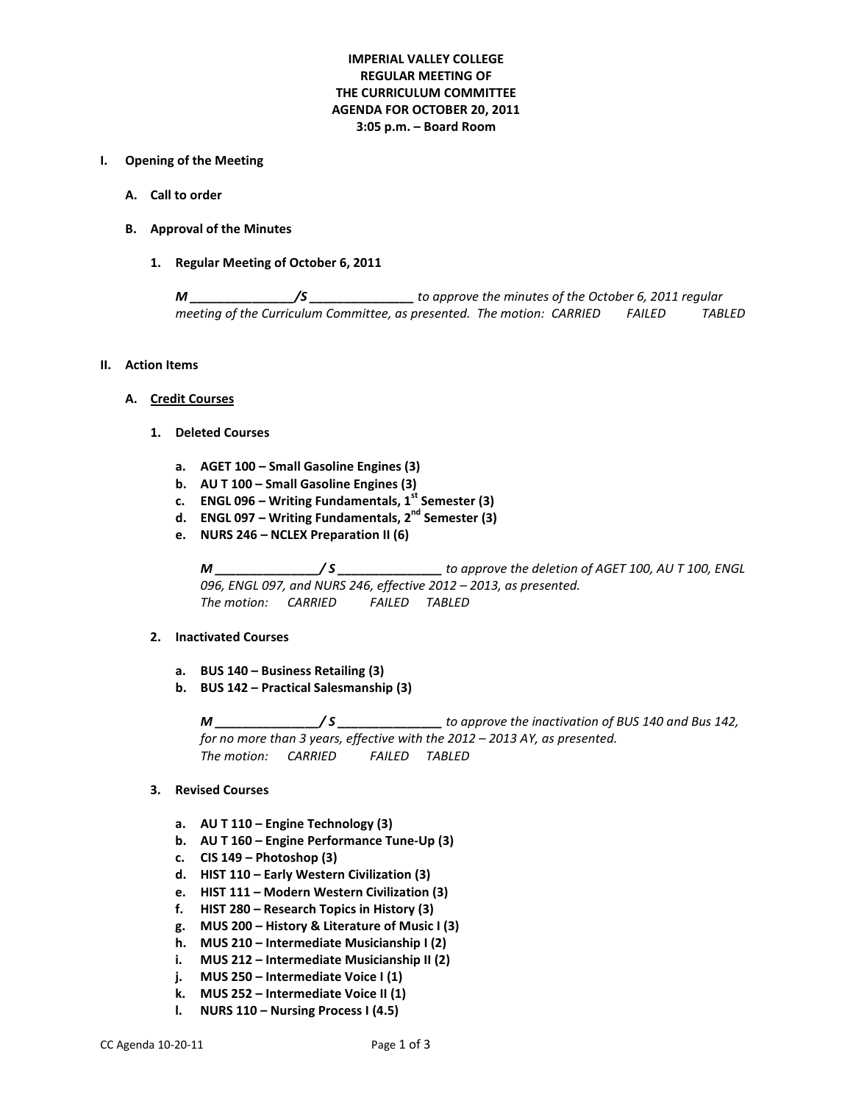# **IMPERIAL VALLEY COLLEGE REGULAR MEETING OF THE CURRICULUM COMMITTEE AGENDA FOR OCTOBER 20, 2011 3:05 p.m. – Board Room**

#### **I. Opening of the Meeting**

- **A. Call to order**
- **B. Approval of the Minutes**
	- **1. Regular Meeting of October 6, 2011**

*M \_\_\_\_\_\_\_\_\_\_\_\_\_\_\_/S \_\_\_\_\_\_\_\_\_\_\_\_\_\_\_ to approve the minutes of the October 6, 2011 regular meeting of the Curriculum Committee, as presented. The motion: CARRIED FAILED TABLED*

#### **II. Action Items**

- **A. Credit Courses**
	- **1. Deleted Courses**
		- **a. AGET 100 – Small Gasoline Engines (3)**
		- **b. AU T 100 – Small Gasoline Engines (3)**
		- **c. ENGL 096 – Writing Fundamentals, 1st Semester (3)**
		- **d. ENGL 097 – Writing Fundamentals, 2nd Semester (3)**
		- **e. NURS 246 – NCLEX Preparation II (6)**

*M \_\_\_\_\_\_\_\_\_\_\_\_\_\_\_/ S \_\_\_\_\_\_\_\_\_\_\_\_\_\_\_ to approve the deletion of AGET 100, AU T 100, ENGL 096, ENGL 097, and NURS 246, effective 2012 – 2013, as presented. The motion: CARRIED FAILED TABLED*

# **2. Inactivated Courses**

- **a. BUS 140 – Business Retailing (3)**
- **b. BUS 142 – Practical Salesmanship (3)**

*M \_\_\_\_\_\_\_\_\_\_\_\_\_\_\_/ S \_\_\_\_\_\_\_\_\_\_\_\_\_\_\_ to approve the inactivation of BUS 140 and Bus 142, for no more than 3 years, effective with the 2012 – 2013 AY, as presented. The motion: CARRIED FAILED TABLED*

### **3. Revised Courses**

- **a. AU T 110 – Engine Technology (3)**
- **b. AU T 160 – Engine Performance Tune-Up (3)**
- **c. CIS 149 – Photoshop (3)**
- **d. HIST 110 – Early Western Civilization (3)**
- **e. HIST 111 – Modern Western Civilization (3)**
- **f. HIST 280 – Research Topics in History (3)**
- **g. MUS 200 – History & Literature of Music I (3)**
- **h. MUS 210 – Intermediate Musicianship I (2)**
- **i. MUS 212 – Intermediate Musicianship II (2)**
- **j. MUS 250 – Intermediate Voice I (1)**
- **k. MUS 252 – Intermediate Voice II (1)**
- **l. NURS 110 – Nursing Process I (4.5)**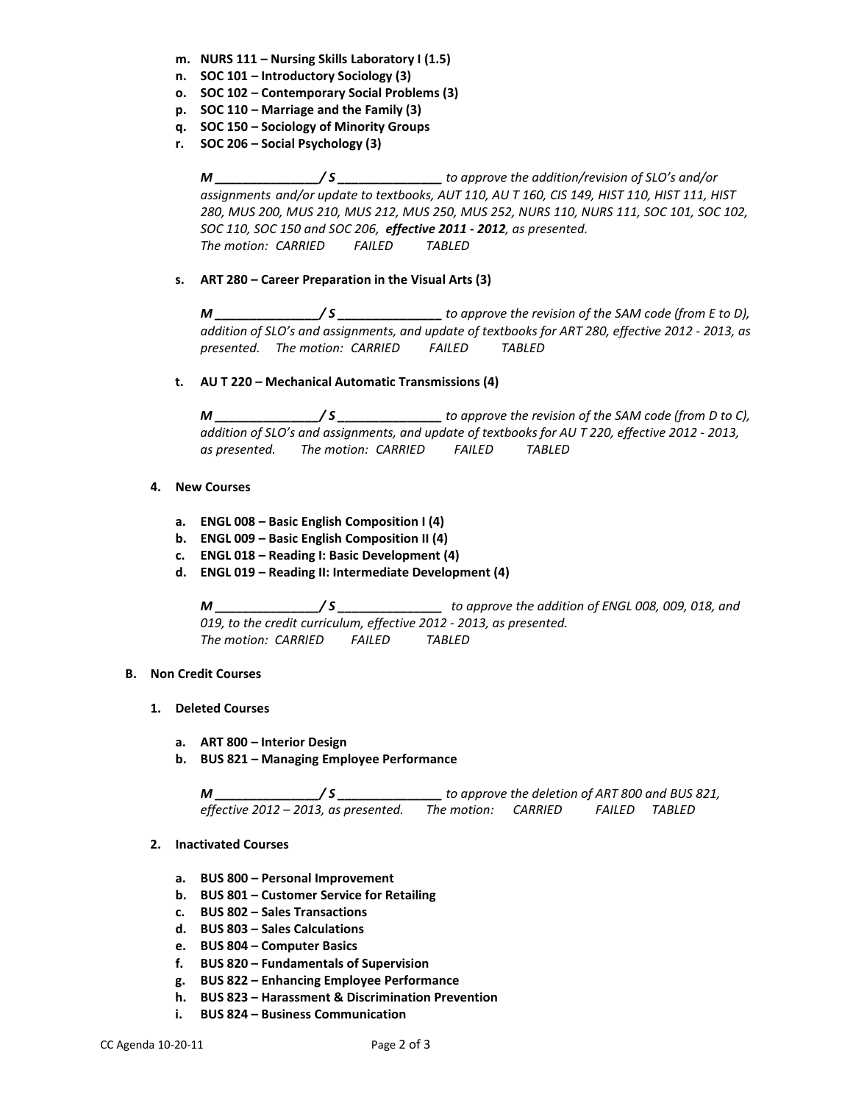- **m. NURS 111 – Nursing Skills Laboratory I (1.5)**
- **n. SOC 101 – Introductory Sociology (3)**
- **o. SOC 102 – Contemporary Social Problems (3)**
- **p. SOC 110 – Marriage and the Family (3)**
- **q. SOC 150 – Sociology of Minority Groups**
- **r. SOC 206 – Social Psychology (3)**

*M \_\_\_\_\_\_\_\_\_\_\_\_\_\_\_/ S \_\_\_\_\_\_\_\_\_\_\_\_\_\_\_ to approve the addition/revision of SLO's and/or assignments and/or update to textbooks, AUT 110, AU T 160, CIS 149, HIST 110, HIST 111, HIST 280, MUS 200, MUS 210, MUS 212, MUS 250, MUS 252, NURS 110, NURS 111, SOC 101, SOC 102, SOC 110, SOC 150 and SOC 206, effective 2011 - 2012, as presented. The motion: CARRIED FAILED TABLED*

**s. ART 280 – Career Preparation in the Visual Arts (3)**

*M \_\_\_\_\_\_\_\_\_\_\_\_\_\_\_/ S \_\_\_\_\_\_\_\_\_\_\_\_\_\_\_ to approve the revision of the SAM code (from E to D), addition of SLO's and assignments, and update of textbooks for ART 280, effective 2012 - 2013, as presented. The motion: CARRIED FAILED TABLED*

**t. AU T 220 – Mechanical Automatic Transmissions (4)**

*M \_\_\_\_\_\_\_\_\_\_\_\_\_\_\_/ S \_\_\_\_\_\_\_\_\_\_\_\_\_\_\_ to approve the revision of the SAM code (from D to C), addition of SLO's and assignments, and update of textbooks for AU T 220, effective 2012 - 2013, as presented. The motion: CARRIED FAILED TABLED*

- **4. New Courses**
	- **a. ENGL 008 – Basic English Composition I (4)**
	- **b. ENGL 009 – Basic English Composition II (4)**
	- **c. ENGL 018 – Reading I: Basic Development (4)**
	- **d. ENGL 019 – Reading II: Intermediate Development (4)**

*M \_\_\_\_\_\_\_\_\_\_\_\_\_\_\_/ S \_\_\_\_\_\_\_\_\_\_\_\_\_\_\_ to approve the addition of ENGL 008, 009, 018, and 019, to the credit curriculum, effective 2012 - 2013, as presented. The motion: CARRIED FAILED TABLED*

# **B. Non Credit Courses**

- **1. Deleted Courses**
	- **a. ART 800 – Interior Design**
	- **b. BUS 821 – Managing Employee Performance**

*M \_\_\_\_\_\_\_\_\_\_\_\_\_\_\_/ S \_\_\_\_\_\_\_\_\_\_\_\_\_\_\_ to approve the deletion of ART 800 and BUS 821, effective 2012 – 2013, as presented. The motion: CARRIED FAILED TABLED*

- **2. Inactivated Courses**
	- **a. BUS 800 – Personal Improvement**
	- **b. BUS 801 – Customer Service for Retailing**
	- **c. BUS 802 – Sales Transactions**
	- **d. BUS 803 – Sales Calculations**
	- **e. BUS 804 – Computer Basics**
	- **f. BUS 820 – Fundamentals of Supervision**
	- **g. BUS 822 – Enhancing Employee Performance**
	- **h. BUS 823 – Harassment & Discrimination Prevention**
	- **i. BUS 824 – Business Communication**